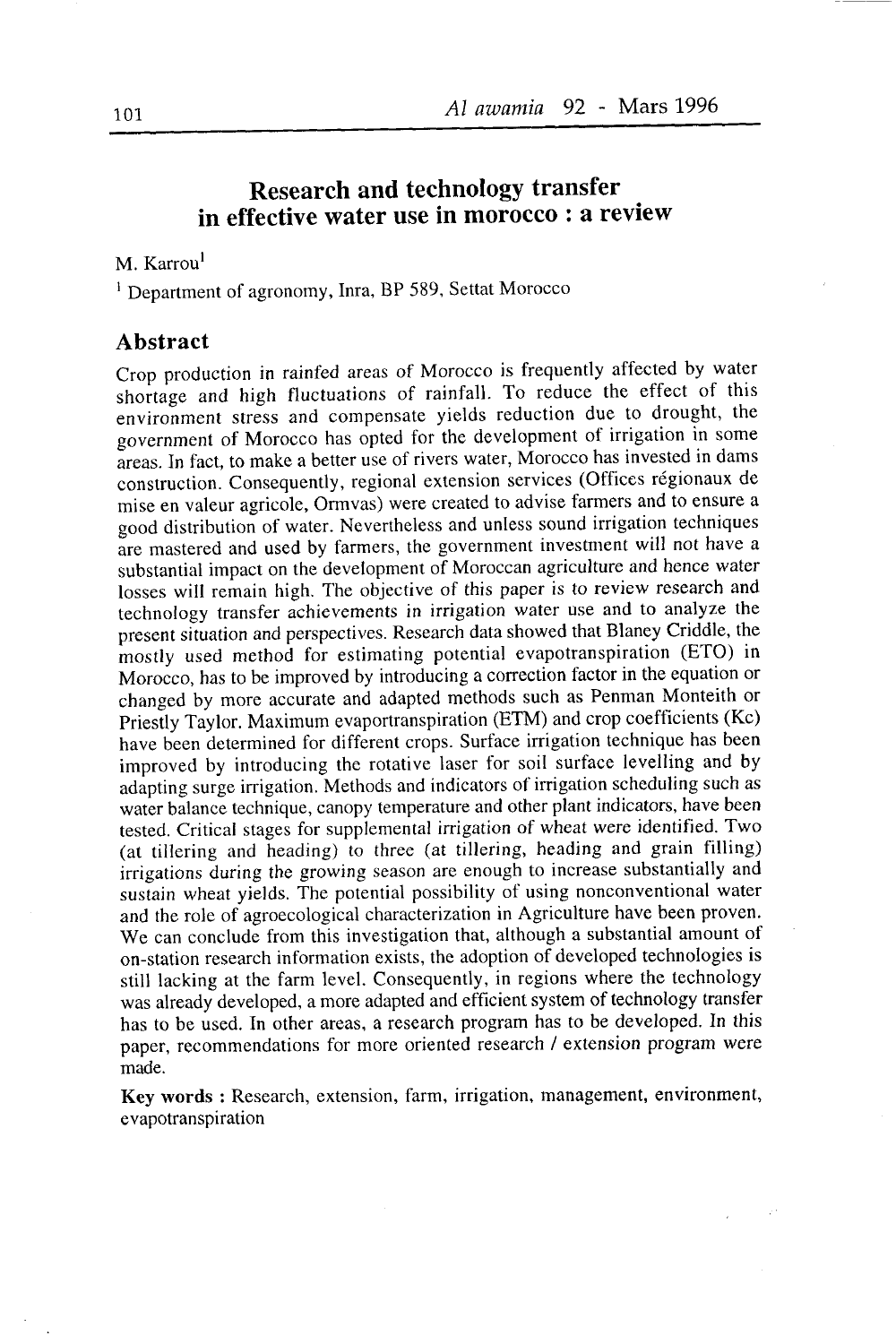# Research and technology transfer in effective water use in morocco : a review

## M. Karrou<sup>l</sup>

<sup>1</sup> Department of agronomy, Inra, BP 589, Settat Morocco

### Abstract

Crop production in rainfed areas of Morocco is frequently affected by water shortage and high fluctuations of rainfall. To reduce the effect of this environment stress and compensate yields reduction due to drought, the government of Morocco has opted for the development of irrigation in some àreas. In fact, to make a better use of rivers water, Morocco has invested in dams construction. Consequently, regional extension services (Offices régionaux de mise en valeur agricole, Ormvas) were created to advise farmers and to ensure a good distribution of water. Nevertheless and unless sound irrigation techniques âre mastered and used by farmers, the government investnent will not have a substantial impact on the development of Moroccan agriculture and hence water losses will remain high. The objective of this paper is to review research and technology transfer achievements in irrigation water use and to analyze the present situation and perspectives. Research data showed that Blaney Criddle, the mostly used method for estimating potential evapotranspiration (ETO) in Morocco, has to be improved by introducing a correction factor in the equation or changed by more accurate and adapted methods such as Penman Monteith or Priesily Taylor. Maximum evaportranspiration (ETM) and crop coefficients (Kc) have been determined for different crops. Surtàce irrigation technique has been improved by introducing the rotative laser for soil surface levelling and by adapting surge irrigation. Methods and indicators of irrigation scheduling such as water balance technique, canopy temperature and other plant indicators, have been tested. Critical stages for supplemental irrigation of wheat were identified. Two (at tillering and heading) to three (at tillering, heading and grain filling) irrigations during the growing season are enough to increase substantially and sustain wheat yields. The potential possibility of using nonconventional water and the role of agroecological characterization in Agriculture have been proven. We can conclude from this investigation that, although a substantial amount of on-station research information exists, the adoption of developed technologies is still lacking at the farm level. Consequently, in regions where the technology was already developed, a more adapted and efficient system of technology transfer has to be used. In other areas, a research program has to be developed. In this paper, recommendations for more oriented research / extension program were made.

Key words : Research, extension, farm, irrigation, management, environment, evapotranspiration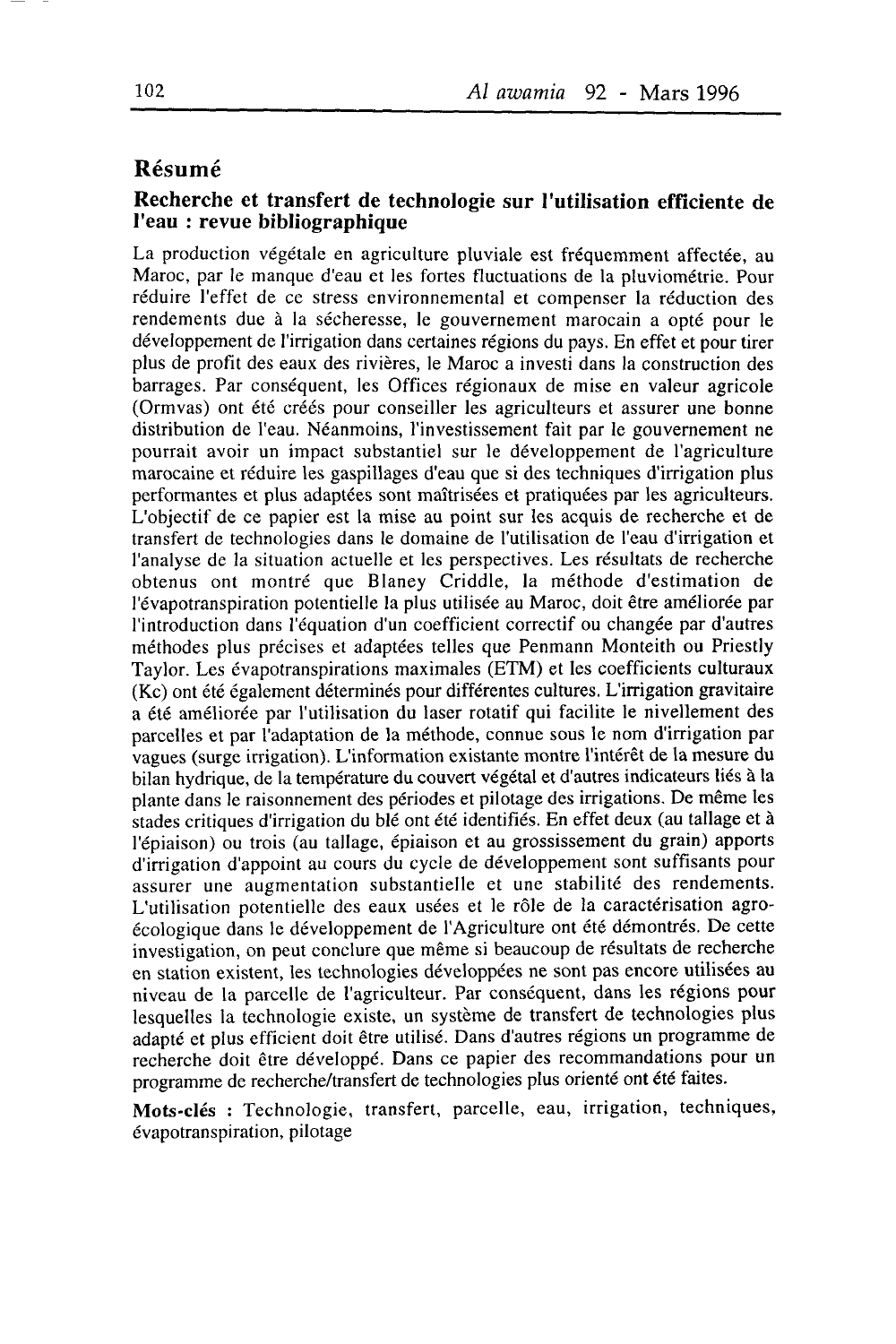## Résumé

## Recherche et transfert de technologie sur I'utilisation efficiente de I'eau : revue bibliographique

La production végétale en agriculture pluviale est fréquemment affectée, au Maroc, par le manque d'eau et les fortes fluctuations de la pluviométrie. Pour réduire I'effet de ce stress environnemental et compenser la réduction des rendements due à la sécheresse, le gouvernement marocain a opté pour le développement de I'irrigation dans certaines régions du pays. En effet et pour tirer plus de profit des eaux des rivières, le Maroc a investi dans la construction des barrages. Par conséquent, les Offices régionaux de mise en valeur agricole (Ormvas) ont été créés pour conseiller les agriculteurs et assurer une bonne distribution de l'eau. Néanmoins, I'investissement fait par le gouvernement ne pourrait avoir un impact substantiel sur le développement de I'agriculture marocaine et réduire les gaspillages d'eau que si des techniques d'irrigation plus performantes et plus adaptées sont maîtrisées et pratiquées par les agriculteurs. L'objectif de ce papier est la mise au point sur les acquis de recherche et de transfert de technologies dans le domaine de I'utilisation de I'eau d'irrigation et I'analyse de la situation actuelle et les perspectives. Les résultats de recherche obtenus ont montré que Blaney Criddle, la méthode d'estimation de l'évapotranspiration potentielle la plus utilisée au Maroc, doit être améliorée par I'introduction dans l'équation d'un coefficient correctif ou changée par d'autres méthodes plus précises et adaptées telles que Penmann Monteith ou Priestly Taylor. Les évapotranspirations maximales (ETM) et les coefficients culturaux (Kc) ont été également déterminés pour différentes cultures. L'irrigation gravitaire a été améliorée par I'utilisation du laser rotatif qui facilite le nivellement des parcelles et par I'adaptation de la méthode, çonnue sous le nom d'irrigation par vagues (surge irrigation). L'information existante montre I'intérêt de la mesure du bilan hydrique, de la température du couvert végétal et d'autres indicateurs liés à la plante dans le raisonnement des périodes et pilotage des irrigations. De même les stades critiques d'irrigation du blé ont été identifiés. En effet deux (au tallage et à l'épiaison) ou trois (au tallage, épiaison et au grossissement du grain) apports d'irrigation d'appoint au cours du cycle de développement sont suffisants pour assurer une augmentation substantielle et une stabilité des rendements. L'utilisation potentielle des eaux usées et le rôle de la caractérisation agroécologique dans le développement de l'Agriculture ont été démontrés. De cette investigation, on peut conclure que même si beaucoup de résultats de recherche en station existent, les technologies développées ne sont pas encore utilisées au niveau de la parcelle de I'agriculteur. Par conséquent, dans les régions pour lesquelles la technologie existe, un système de transfert de technologies plus adapté et plus efficient doit être utilisé. Dans d'autres régions un programme de recherche doit être développé. Dans ce papier des recommandations pour un programme de recherche/transfert de technologies plus orienté ont été faites.

Mots-clés : Technologie, transfert, parcelle, eau, irrigation, techniques, évapotranspiration, pilotage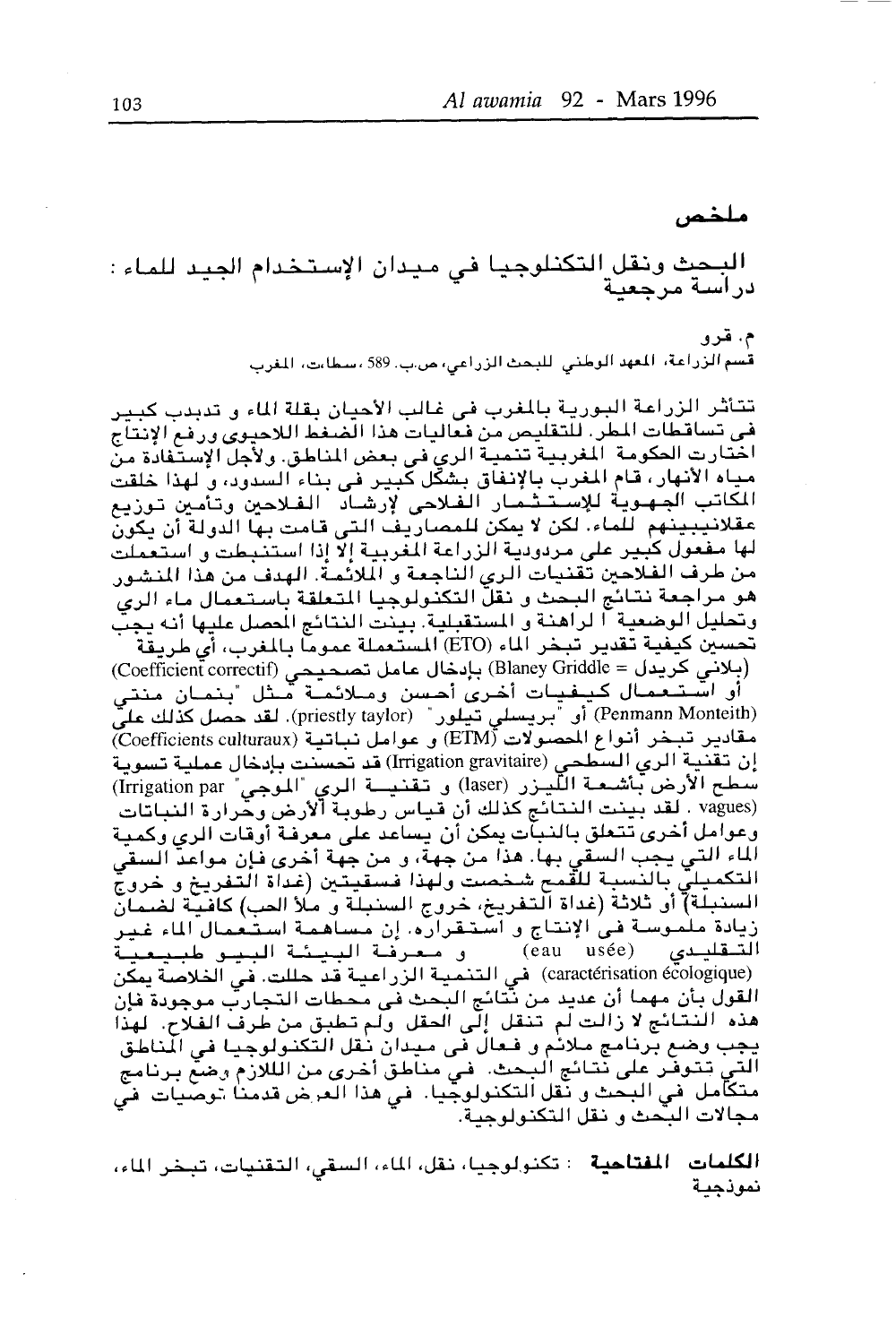ملخص البحيث ونقل التكنلوجيا في ميدان الإستخدام الجيد للماء: دراسة مرجعية م. قرو قُسم الزراعة، المعهد الوطني الليحث الزراعي، من.ب. 589 ، سطاءت، المغرب تتأثَّر الزراعة البورية بالمغرب في غالب الأحيان بقلة الماء و تدبدب كبير في تساقطات المطر. للتقليص من فعاليات هذا الضغط اللاحيوي ورفع الإنتاج اختارت الحكومة المغربية تنمية الري في بعض المناطق. ولأجل الإستَّفادة من مياه الأنهار، قام المغرب بالإنفاق بشكّل كبير في بناء السدود، و لهذا خلقت المكاتب الجهوية للإستثمار الفلاحى لإرشاد الفلاحين وتأمين توزيع عقلانيبينهم للماء لكن لا يمكن للمصاريف التي قامت بها الدولة أن يكون لها مفعول كبير على مردودية الزراعة المغربية إلاً إذا استنبطت و استعملت من طرف الفلاحين تَقْنيات الري الناجعة و الملائمة. الهدف من هذا المنشور هو مراجعة نتائج البحث و نقلّ التكنولوجيا المتعلقة باستعمال ماء الري وتحليل الوضعية آ لراهنة و المستقبلية. بينت النتائج المصل عليها أنه يجبّ تحسين كيفية تقدير تبخر الماء (ETO) المستعملة عموماً بالمغرب، أي طريقة (بلانی کریدل = Blaney Griddle) بإدخال عامل تصحیحی (Coefficient correctif) أو استتعمال كيفيات أخرى أحسن ومالأعصة ممثل تنمان منتى (Penmann Monteith) أو "بريسلي تيلور" (priestly taylor). لقد حصل كذلك عليّ مقادير تبخر أنواع المحصولات (ETM) و عوامل نباتية (Coefficients culturaux) إن تـقنيـة الري السَّطحي (Irrigation gravitaire) قد تُحسَّنت بإدخال عمليـة تسويـة سُطح الأرض بَّأشعة اللَّيـزر (laser) و تقنيــة الري "الموجى" Irrigation par) (vagues . لقد بينت النتائج كذلك أن قياس رطوبة آلأرض وحّرارة النباتات وعوامل أخرى تتعلق بالنبآت يمكن أن يساعد على معرفة أوقات الري وكمية الماء التي يجب السقى بها. هذا من جهة، و من جهة أخرى فإن مواعد السقى التكميليّ بالنسبة للقمح شخصت ولهذا فسقيتين (غداة التفريخ و خروج السنبلة) أو ثلاثة (غداة التفريخ، خروج السنبلة و ملأ العب) كافية لضمان زيادة ملموسـة فـي الإنتاج و اسـتـقـراره. إن مـسـاهـمـة اسـتـعـمـال الماء غـيـر التىقليىدى و معرفة البيئة البيو طبيعية (eau usée) (caractérisation écologique) في التنمية الزراعية قد حللت. في الخلاصة يمكن القول بأن مهما أن عديد من نتائج البحث في محطات التجارب موجودة فإن هذه النتائج لا زالت لم تنقل إلى الحقل ولم تطبق من طرف الفلاح. لهذا يجب وضع برنامج ملائم و فعال في ميدان نُقل التكنولوجيا في المناطق ل تتوفَّر على نتائج البحث. في مناطق أخرى من الللازم وضعَّ برنامج التے متكامل في البحث و نَقل التكنولوجِّيا. في هذا العرض قدمنا توصيات في مجالات البحث ورنقل التكنولوجية.

ا**لكلمات المفتاحية** : تكنولوجيا، نقل، الماء، السقى، التقنيات، تبخر الماء، نموذجعة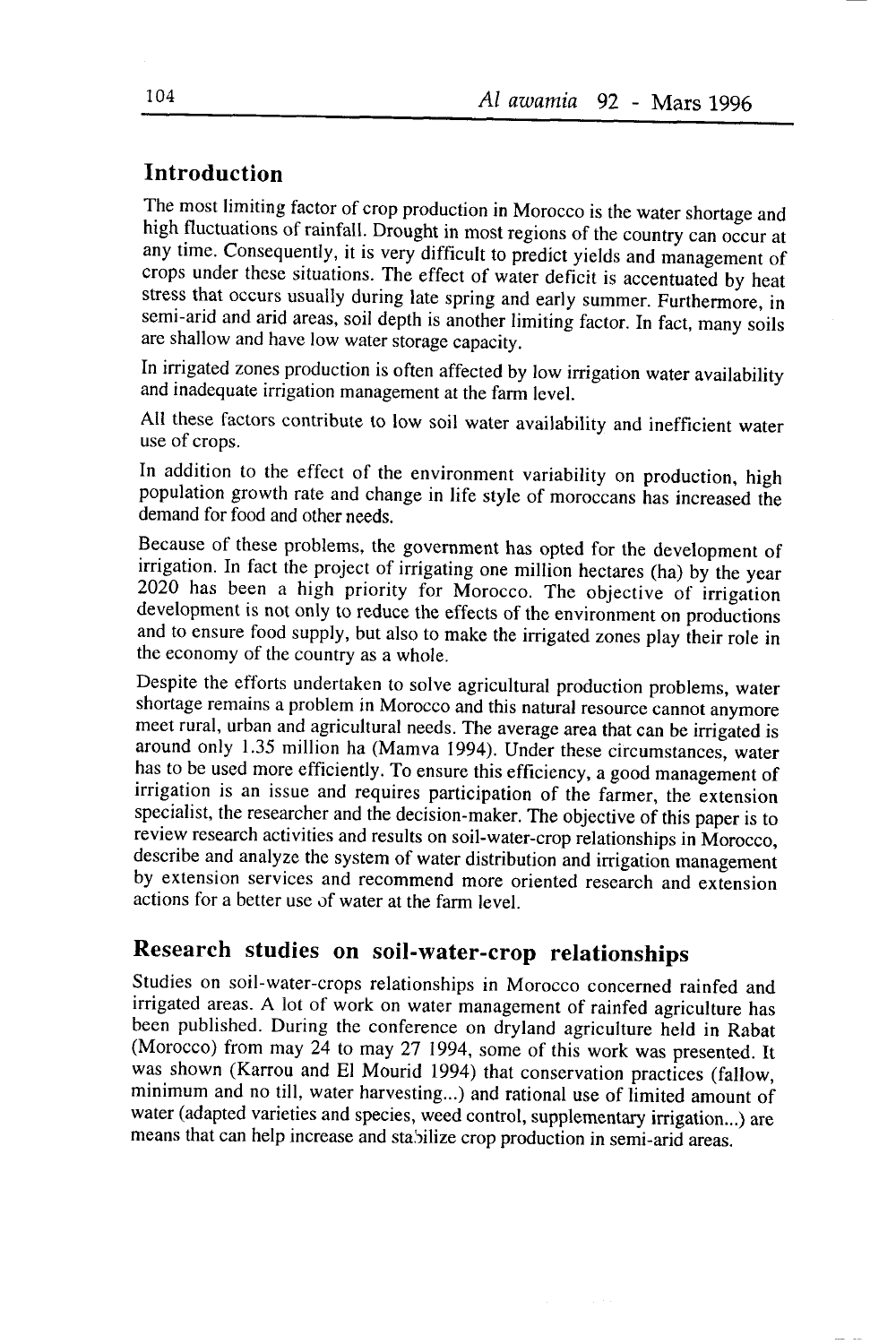# Introduction

The most limiting factor of crop production in Morocco is the water shortage and high fluctuations of rainfall. Drought in most regions of the country can occur at any time. Consequently, it is very difficult to predict yields and management of crops under these situations. The effect of water deficit is accentuated by heat stress that occurs usually during late spring and early summer. Furthermore, in semi-arid and arid areas, soil depth is another limiting factor. In fact, many soils are shallow and have low water storage capacity.

In irrigated zones production is often affected by low irrigation water availability and inadequate irrigation management at the farm level.

All these factors contribute to low soil water availability and inefficient water use of crops.

In addition to the effect of the environment variability on production, high population growth rate and change in life style of moroccans has increased the demand for food and other needs.

Because of these problems, the government has opted for the development of irrigation. In fact the project of irrigating one million hectares (ha) by the year  $2020$  has been a high priority for Morocco. The objective of irrigation development is not only to reduce the effects of the environment on productions and to ensure food supply, but also to make the irrigated zones play iheir role in the economy of the country as a whole.

Despite the efforts undertaken to solve agricultural production problems, water shortage remains a problem in Morocco and this natural resource cannot anymore meet rural, urban and agricultural needs. The average area that can be irrigated is around only 1.35 million ha (Mamva 1994). Under these circumstances, water has to be used more efficiently. To ensure this efficiency, a good management of irrigation is an issue and requires participation of the farmer, the extension specialist, the researcher and the decision-maker. The objective of this paper is to review research activities and results on soil-water-crop relationships in Morocco, describe and analyze the system of water distribution and irrigation management by extension services and recommend more oriented research and extension actions for a better use of water at the farm level.

# Research studies on soil-water-crop relationships

studies on soil-water-crops relationships in Morocco concerned rainfed and irrigated areas. A lot of work on water management of rainfed agriculture has been published. During the conference on dryland agriculture held in Rabat (Morocco) from may 24 to may 27 1994, some of this work was presented. It was shown (Karrou and El Mourid 1994) that conservation practices (fallow, minimum and no till, water harvesting...) and rational use of limited amount of water (adapted varieties and species, weed control, supplementary irrigation...) are means that can help increase and stabilize crop production in semi-arid areas.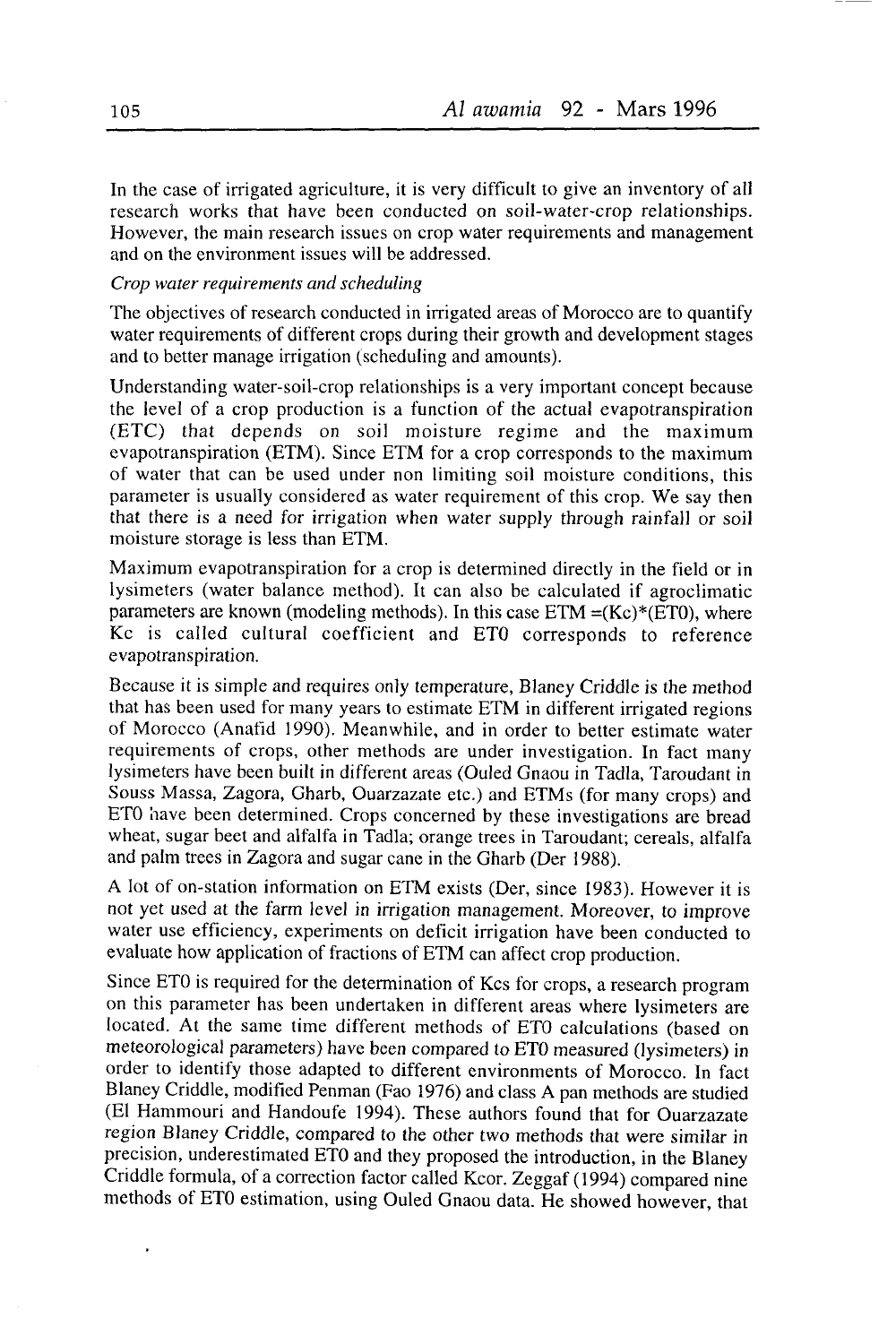In the case of irrigated agriculture, it is very difficult to give an inventory of all research works that have been conducted on soil-water-crop relationships. However, the main research issues on crop water requirements and management and on the environment issues will be addressed.

#### Crop water requirements and scheduling

The objectives of research conducted in irrigated areas of Morocco are to quantify water requirements of different crops during their growth and development stages and to better manage irrigation (scheduling and amounts).

Understanding water-soil-crop relationships is a very important concept because the level of a crop production is a function of the actual evapotranspiration (ETC) that depends on soil moisture regime and the maximum evapotranspiration (ETM). Since ETM for a crop corresponds to the maximum of water that can be used under non limiting soil moisture conditions, this parameter is usually considered as water requirement of this crop. We say then that there is a need for irrigation when water supply through rainfall or soil moisture storage is less than ETM.

Maximum evapotranspiration for a crop is determined directly in the field or in lysimeters (water balance method). It can also be calculated if agroclimatic parameters are known (modeling methods). In this case  $ETM = (Kc)*(ET0)$ , where Kc is called cultural coefficient and ETO corresponds to reference evapotranspiration.

Because it is simple and requires only temperature, Blaney Criddle is the method that has been used for many years to estimate ETM in different irrigated regions of Morocco (Anafrd 1990). Meanwhile, and in order to better estimate water requirements of crops, other methods are under investigation. In fact many lysimeters have been built in different areas (Ouled Gnaou in Tadla, Taroudant in Souss Massa, Zagora, Gharb, Ouarzazate etc.) and ETMs (for many crops) and ETO have been determined. Crops concerned by these investigations are bread wheat, sugar beet and alfalfa in Tadla; orange trees in Taroudant; cereals, alfalfa and palm trees in Zagora and sugar cane in the Gharb (Der 1988).

A lot of on-station information on ETM exists (Der, since 1983). However it is not yet used at the fàrm level in irrigation management. Moreover, to improve water use efficiency, experiments on deficit irrigation have been conducted to evaluate how application of fractions of ETM can affect crop production.

Since ETO is required for the determination of Kcs for crops, a research program on this parameter has been undertaken in different areas where lysimeters are located. At the same time different methods of ETO calculations (based on meteorological parameters) have been compared to ETO measured (lysimeters) in order to identify those adapted to different environments of Morocco. In fact Blaney criddle, modified Penman (Fao 1976) and class A pan methods are studied (EI Hammouri and Handoufe 1994). These authors found that for Ouarzazate region Blaney criddle, compared to the other two methods that were similar in precision, underestimated ETO and they proposed the introduction, in the Blaney Criddle formula, of a correction factor called Kcor. Zeggaf (1994) compared nine methods of ET0 estimation, using Ouled Gnaou data. He showed however, that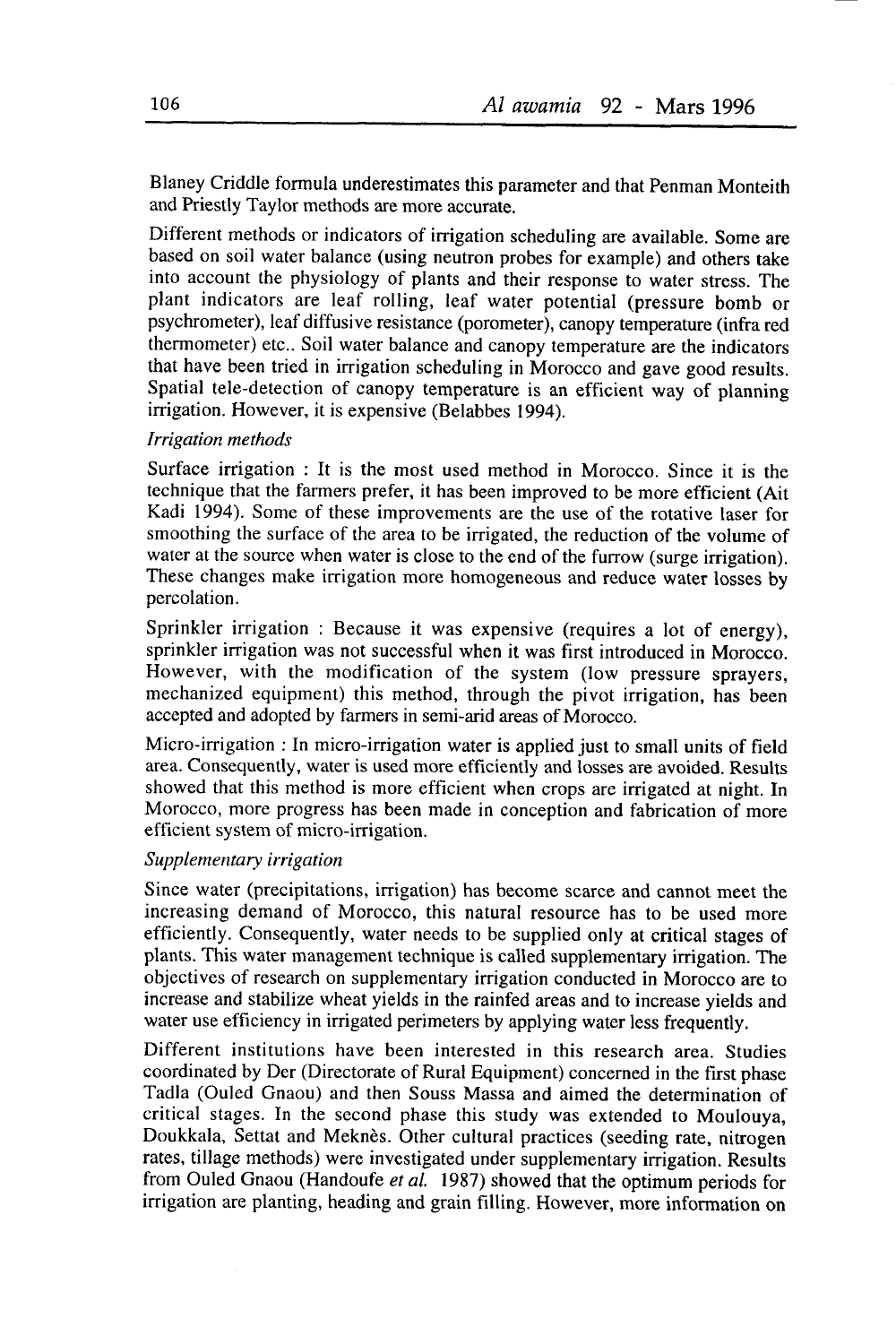Blaney Criddle formula underestimates this parameter and that Penman Monteith and Priestly Taylor methods are more accurate.

Different methods or indicators of irrigation scheduling are available. some are based on soil water balance (using neutron probes for example) and others take into account the physiology of plants and their response to water stress. The plant indicators are leaf rolling, leaf water potential (pressure bomb or psychrometer), leaf diffusive resistance (porometer), canopy temperature (infra red thermometer) etc.. Soil water balance and canopy temperature are the indicators that have been tried in irrigation scheduling in Morocco and gave good results. Spatial tele-detection of canopy temperature is an efficient way of planning irrigation. However, it is expensive (Belabbes 1994).

#### Irrigation methods

Surface irrigation : It is the most used method in Morocco. Since it is the technique that the farmers prefer, it has been improved to be more efficient (Ait Kadi 1994). Some of these improvements are the use of the rotative laser for smoothing the surface of the area to be irrigated, the reduction of the volume of water at the source when water is close to the end of the furrow (surge irrigation). These changes make irrigation more homogeneous and reduce water losses by percolation.

Sprinkler irrigation : Because it was expensive (requires a lot of energy), sprinkler irrigation was not successful when it was first introduced in Morocco. However, with the modification of the system (low pressure sprayers, mechanized equipment) this method, through the pivot irrigation, has been accepted and adopted by farmers in semi-arid areas of Morocco.

Micro-irrigation : In micro-irrigation water is applied just to small units of field area. Consequently, water is used more efficiently and losses are avoided. Results showed that this method is more efficient when crops are irrigated at night. In Morocco, more progress has been made in conception and fabrication of more efficient system of micro-irrigation.

#### Supplementary irrigation

Since water (precipitations, irrigation) has become scarce and cannot meet the increasing demand of Morocco, this natural resource has to be used more efficiently. Consequently, water needs to be supplied only at critical stages of plants. This water management technique is called supplementary irrigation. The objectives of research on supplementary irrigation conducted in Morocco are to increase and stabilize wheat yields in the rainfed areas and to increase yields and water use efficiency in irrigated perimeters by applying water less frequently.

Different institutions have been interested in this research area. Studies coordinated by Der (Directorate of Rural Equipment) concerned in the first phase Tadla (Ouled Gnaou) and then Souss Massa and aimed the determination of critical stages. In the second phase this study was extended to Moulouya, Doukkala, Settat and Meknès. Other cultural practices (seeding rate, nitrogen rates, tillage methods) were investigated under supplementary irrigation. Results from Ouled Gnaou (Handoufe et al. 1987) showed that the optimum periods for irrigation are planting, heading and grain filling. However, more information on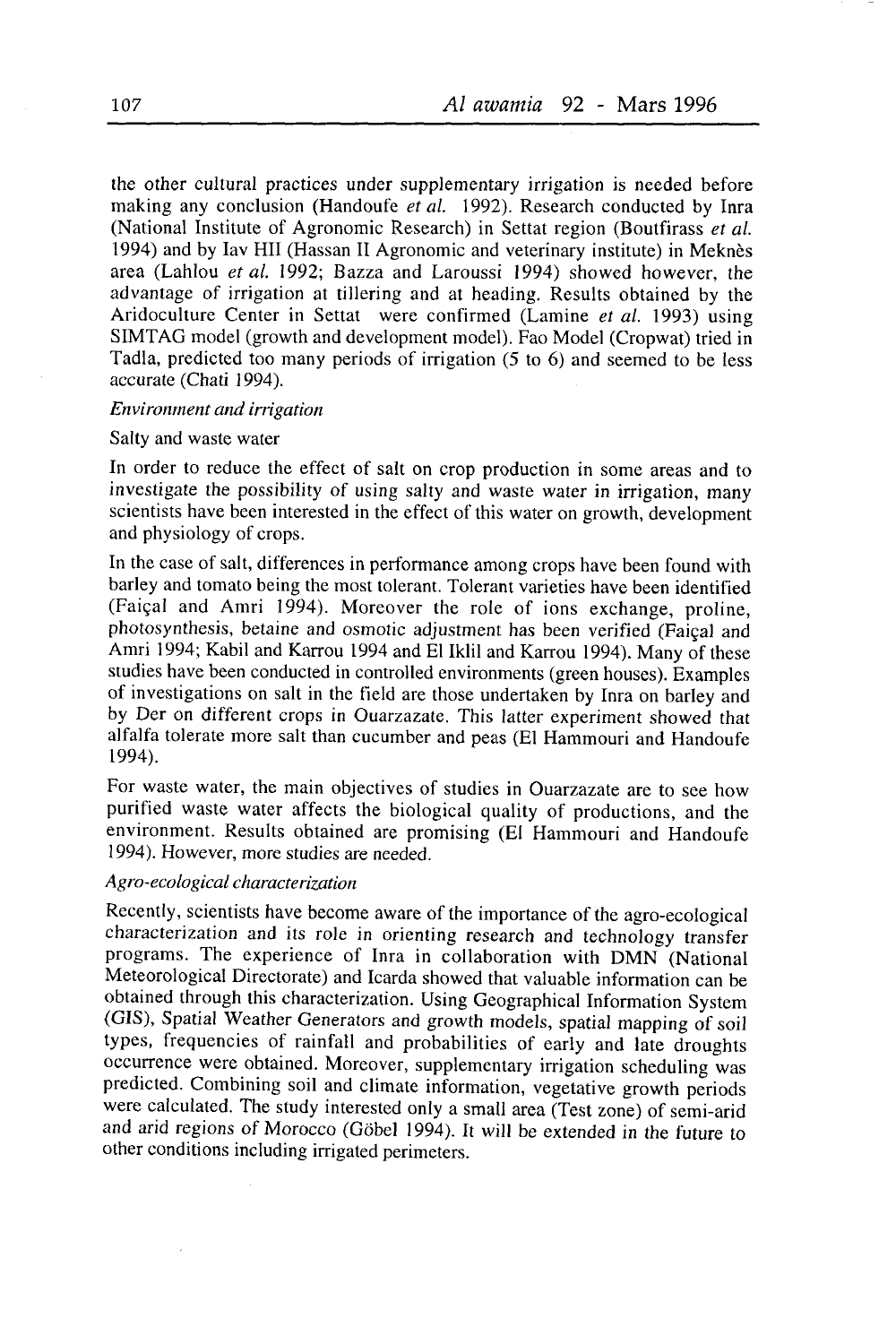the other cultural practices under supplementary irrigation is needed before making any conclusion (Handoufe et al. 1992). Research conducted by Inra (National Institute of Agronomic Research) in Settat region (Boutfirass er a/. 1994) and by Iav HII (Hassan II Agronomic and veterinary institute) in Meknès area (Lahlou et al. 1992; Bazza and Laroussi 1994) showed however, the advantage of irrigation at tillering and at heading. Results obtained by the Aridoculture Center in Settat were confirmed (Lamine et al. 1993) using SIMTAG model (growth and development model). Fao Model (Cropwat) tried in Tadla, predicted too many periods of irrigation (5 to 6) and seemed to be less açcurate (Chati 1994).

#### Environment and irrigation

#### Salty and waste water

In order to reduce the effect of salt on crop production in some areas and to investigate the possibility of using salty and waste water in irrigation, many scientists have been interested in the effect of this water on growth, development and physiology of crops.

In the case of salt, differences in performance among crops have been found with barley and tomato being the most tolerant. Tolerant varieties have been identified (Faiçal and Amri 1994). Moreover the role of ions exchange, proline, photosynthesis, betaine and osmotic adjustment has been verified (Faiçal and Amri 1994; Kabil and Karrou 1994 and El Iklil and Karrou 1994). Many of these studies have been conducted in controlled environments (green houses). Examples of investigations on salt in the field are those undertaken by Inra on barley and by Der on different crops in Ouarzazate. This latter experiment showed that alfalfa tolerate more salt than cucumber and peas (El Hammouri and Handoufe 1994).

For waste water, the main objectives of studies in Ouarzazate are to see how purified waste water affects the biological quality of productions, and the environment. Results obtained are promising (El Hammouri and Handoufe 1994). However, more studies are needed.

#### A gro-ecological characterization

Recently, scientists have become aware of the importance of the agro-ecological characterization and its role in orienting research and technology transfer programs. The experience of Inra in collaboration with DMN (National Meteorological Directorate) and Icarda showed that valuable information can be obtained through this characterization. Using Geographical Information System (GIS), spatial weather cenerators and growth models, spatial mapping of soil types, frequencies of rainfall and probabilities of early and làte droughts occurrence were obtained. Moreover, supplementary irrigation scheduling was predicted. Combining soil and climate information, vegetative growth periods were calculated. The study interested only a small area (Test zone) of semi-arid and arid regions of Morocco (Göbel 1994). It will be extended in the future to other conditions including irrigated perimeters.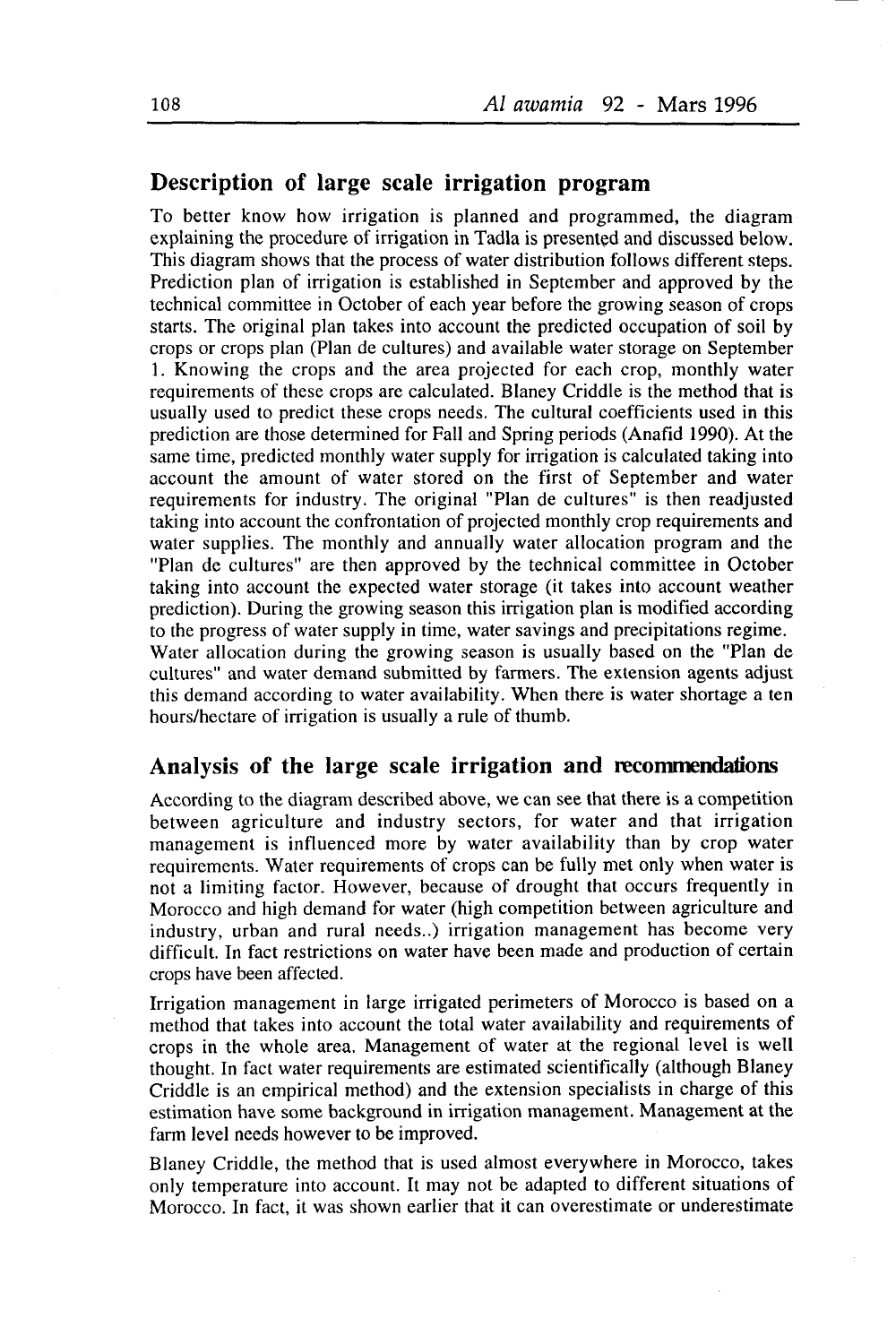### Description of large scale irrigation program

To better know how irrigation is planned and programmed, the diagram explaining the procedure of irrigation in Tadla is presented and discussed below. This diagram shows that the process of water distribution follows different steps. Prediction plan of irrigation is established in September and approved by the technical committee in October of each year before the growing season of crops starts. The original plan takes into account the predicted occupation of soil by crops or crops plan (Plan de cultures) and available water storage on September 1. Knowing the crops and the area projected for each crop, monthly water requirements of these crops are calculated. Blaney Criddle is the method that is usually used to predict these crops needs. The cultural coefficients used in this prediction are those determined for Fall and Spring periods (Anafid 1990). At the same time, predicted monthly water supply for irrigation is calculated taking into account the amount of water stored on the first of September and water requirements for industry. The original "Plan de cultures" is then readjusted taking into account the confrontation of projected monthly crop requirements and water supplies. The monthly and annually water allocation program and the "Plan de cultures" are then approved by the technical committee in October taking into account the expected water storage (it takes into account weather prediction). During the growing season this irrigation plan is modified according to the progress of water supply in time, water savings and precipitations regime. Water allocation during the growing season is usually based on the "Plan de cultures" and water demand submitted by farmers. The extension agents adjust this demand according to water availability. When there is water shortage a ten hours/hectare of irrigation is usually a rule of thumb.

### Analysis of the large scale irrigation and recommendations

According to the diagram described above, we can see that there is a competition between agriculture and industry sectors, for water and that irrigation management is influenced more by water availability than by crop water requirements. Water requirements of crops can be fully met only when water is not a limiting factor. However, because of drought that occurs frequently in Morocco and high demand for water (high competition between agriculture and industry, urban and rural needs..) irrigation management has become very difficult. In fact restrictions on water have been made and production of certain crops have been affected.

Irrigation management in large inigated perimeters of Morocco is based on a method that takes into account the total water availability and requirements of crops in the whole area. Management of water at the regional level is well thought. In fact water requirements are estimated scientifically (although Blaney Criddle is an empirical method) and the extension specialists in charge of this estimation have some background in irrigation management. Management at the farm level needs however to be improved.

Blaney Criddle, the method that is used almost everywhere in Morocco, takes only temperature into account. It may not be adapted to different situations of Morocco. In fact. it was shown earlier that it can overestimate or underestimate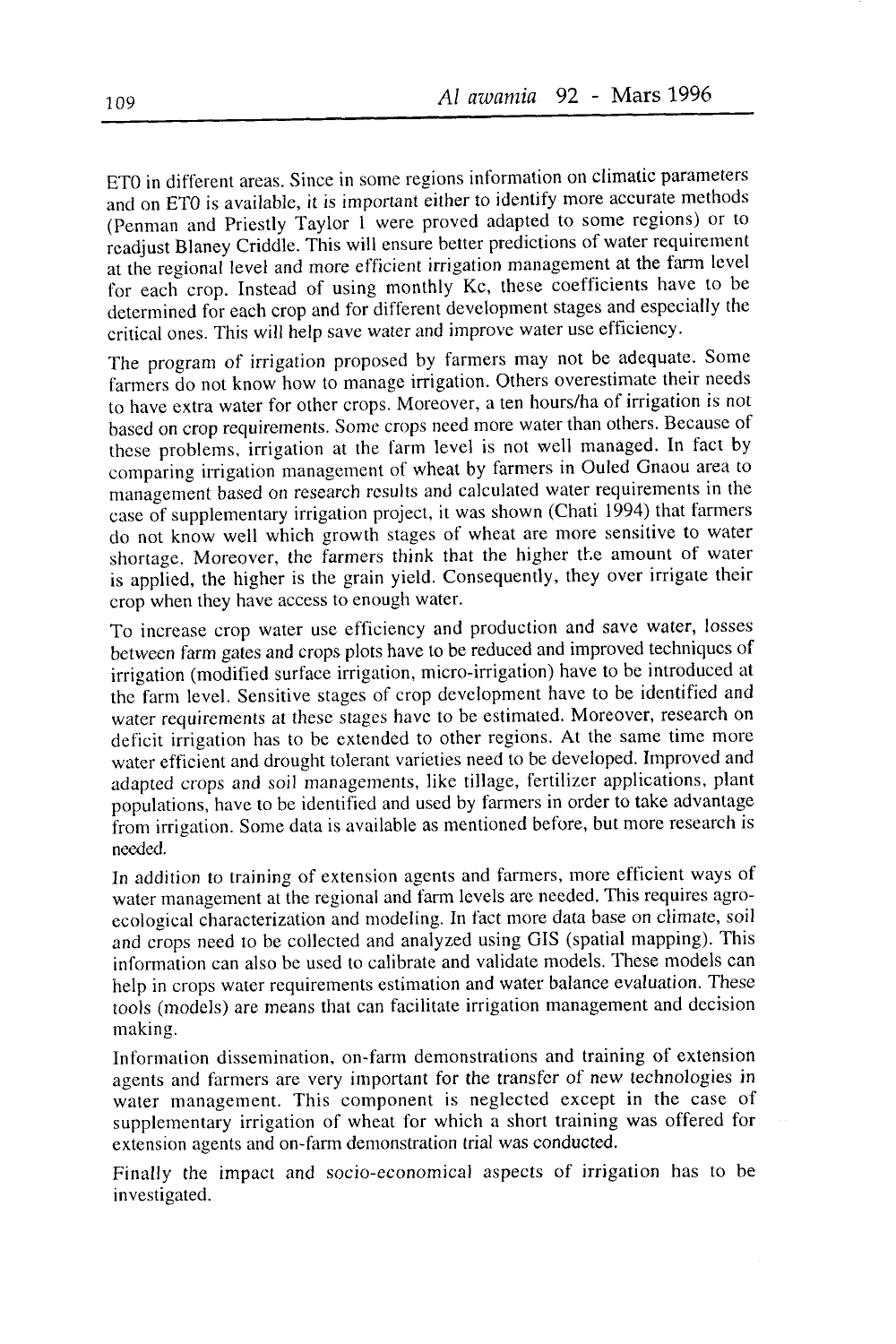ET0 in different areas. Since in some regions information on climatic parameters and on ET0 is available, it is important either to identify more accurate methods (Penman and Priestly Taylor 1 were proved adapted to some regions) or to readjust Blaney Criddle. This will ensure better predictions of water requirement at the regional level and more efficient irrigation management at the farm level for each crop. Instead of using monthly Kc, these coefficients have to be determined for each crop and for different development stages and especially the critical ones. This will help save water and improve water use efficiency.

The program of irrigation proposed by farmers may not be adequate. Some farmers do not know how to manage irrigation. Others overestimate their needs to have extra water for other crops. Moreover, a ten hours/ha of irrigation is not based on crop requirements. Some crops need more water than others. Because of these problems, irrigation at the farm level is not well managed. In fact by comparing irrigation management of wheat by farmers in Ouled Gnaou area to management based on research results and calculated water requirements in the case of supplementary irrigation project, it was shown (Chati 1994) that farmers do not know well which growth stages of wheat are more sensitive to water shortage. Moreover, the farmers think that the higher the amount of water is applied, the higher is the grain yield. Consequently, they over irrigate their crop when they have access to enough water.

To increase crop water use efficiency and production and save water, losses between farm gates and crops plots have to be reduced and improved techniques of irrigation (modified surface irrigation, micro-irrigation) have to be introduced at the farm level. Sensitive stages of crop development have to be identified and water requirements at these stages have to be estimated. Moreover, research on deficit irrigation has to be extended to other regions. At the same time more water efficient and drought tolerant varieties need to be developed. Improved and adapted crops and soil managements, like tillage, fertilizer applications, plant populations, have to be identified and used by farmers in order to take advantage from irrigation. Some data is available as mentioned before, but more research is needed

In addition to training of extension agents and farmers, more efficient ways of water management at the regional and farm levels are needed. This requires agroecological characterization and modeling. In fact more data base on climate, soil and crops need to be collected and analyzed using GIS (spatial mapping). This information can also be used to calibrate and validate models. These models can help in crops water requirements estimation and water balance evaluation. These tools (models) are means that can facilitate irrigation management and decision making.

Information dissemination, on-farm demonstrations and training of extension agents and farmers are very important for the transfer of new technologies in water management. This component is neglected except in the case of supplementary irrigation of wheat for which a short training was offered for extension agents and on-farm demonstration trial was conducted.

Finally the impact and socio-economical aspects of irrigation has to be investigated.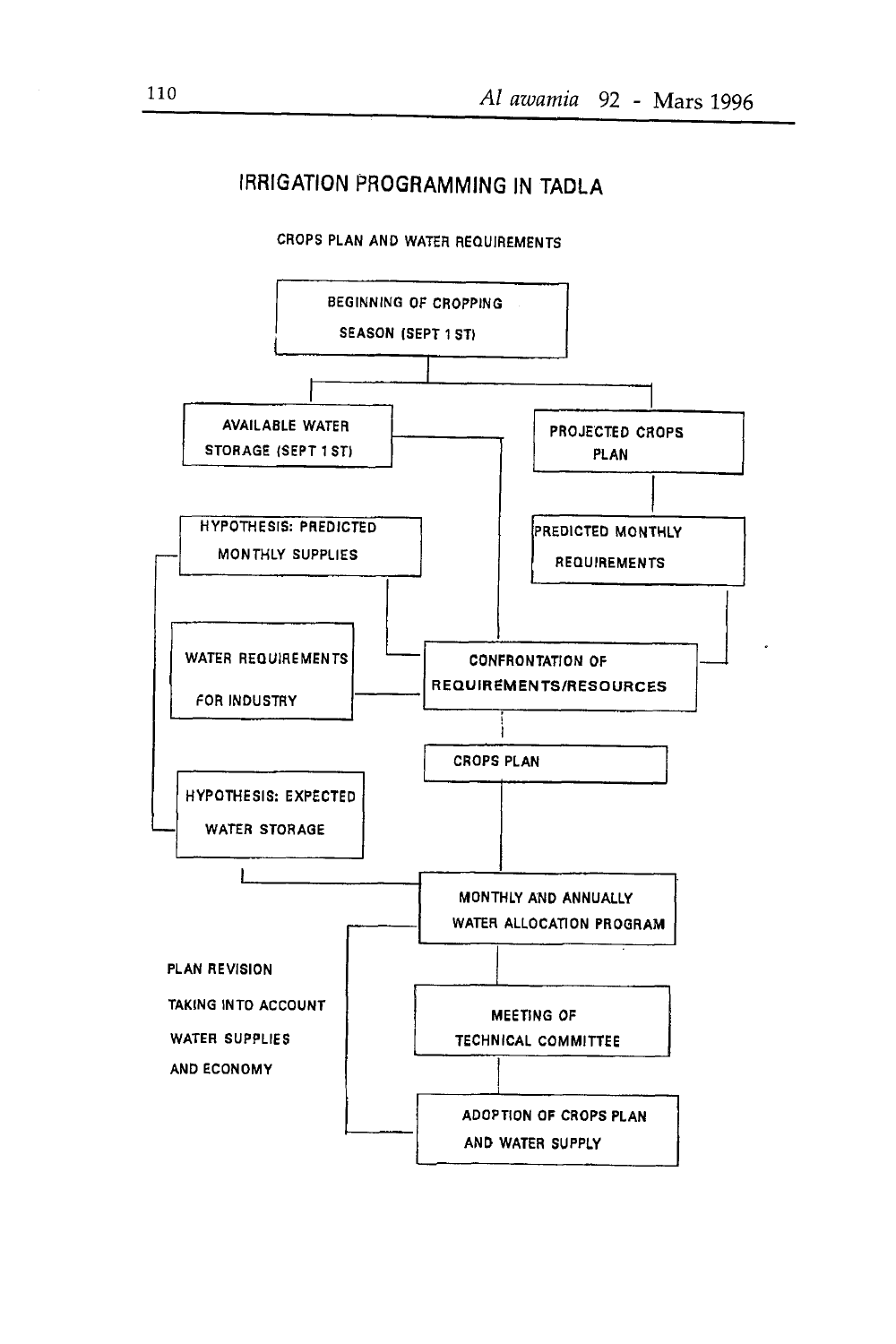# **IRRIGATION PROGRAMMING IN TADLA**



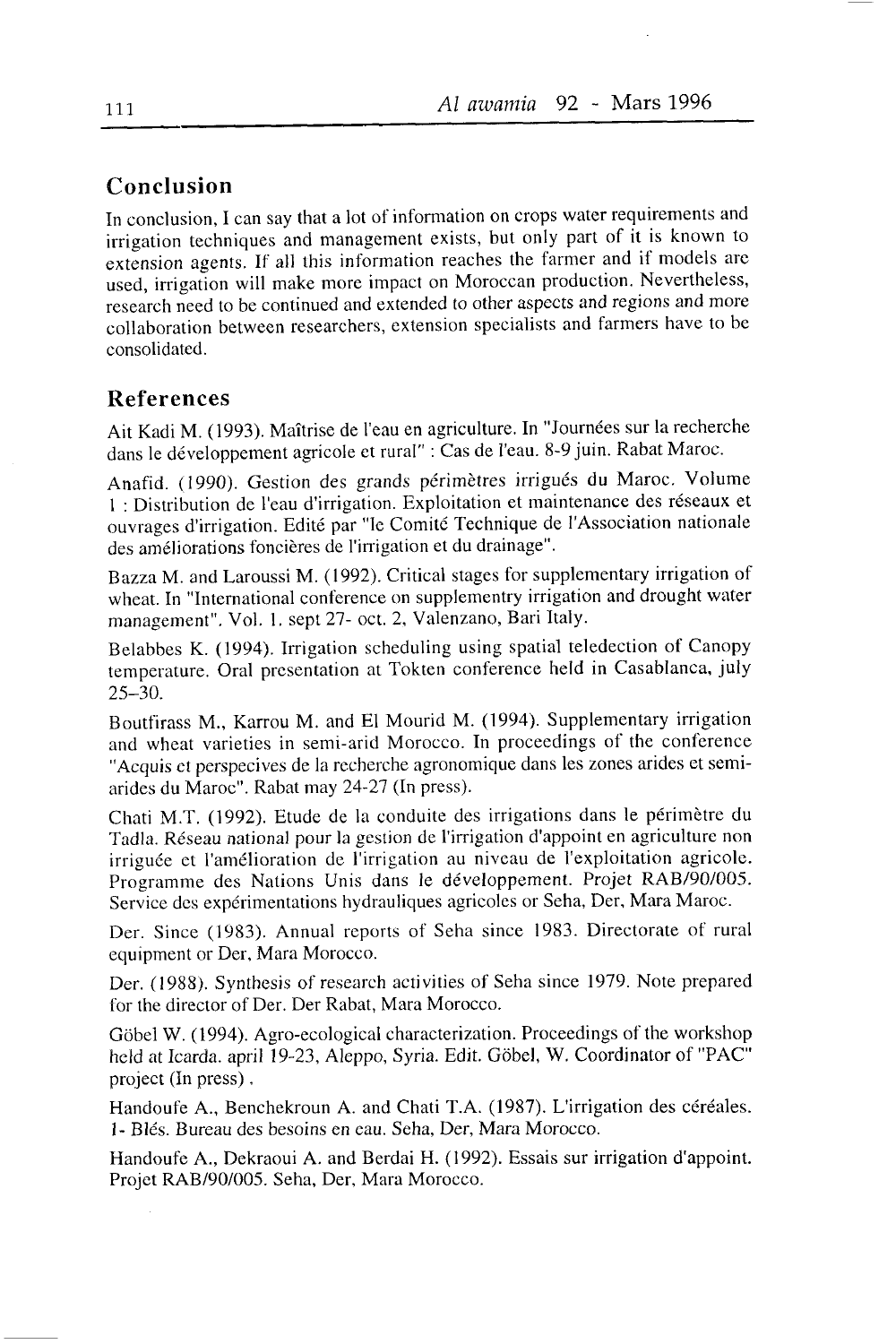## Conclusion

In conclusion, I can say that a lot of information on crops water requirements and irrigation techniques and management exists, but only part of it is known to extension agents. If all this information reaches the farmer and if models are used, irrigation will make more impact on Moroccan production. Nevertheless, research need to be continued and extended to other aspects and regions and more collaboration between researchers, extension specialists and farmers have to be consolidated.

### References

Ait Kacli M. (1993). Maîtrise de I'eau en agriculture. In "Journées sur la recherche dans le développement agricole et rural" : Cas de l'eau. 8-9 juin. Rabat Maroc.

Anafid. (1990). Gestion des grands périmètres irrigués du Maroc. Volume 1 : Distribution de l'eau d'irrigation. Exploitation et maintenance des réseaux et ouvrages d'irrigation. Edité par "le Comité Technique de l'Association nationale des améliorations foncières de l'irrigation et du drainage".

Bazza M. and Laroussi M. (1992). Critical stages for supplementary irrigation of wheat. In "International confèrence on supplementry irrigation and drought water management". Vol. 1. sept 27- oct. 2, Valenzano, Bari Italy.

Belabbes K. (1994). Irrigation scheduling using spatial teledection of Canopy temperature. Oral presentation at Tokten conference held in Casablanca, july 25-30.

Bourfirass M., Karrou M. and El Mourid M. (1994). Supplementary irrigation and wheat varieties in semi-arid Morocco. In proceedings of the conference "Acquis et perspecives de la recherche agronomique dans les zones arides et semiarides du Maroc". Rabat may 24-27 (In press).

Chati M.T. (1992). Etude de la conduite des irrigations dans le périmètre du Tadla. Réseau national pour la gestion de I'inigation d'appoint en agriculture non irriguée et l'amélioration de l'irrigation au niveau de l'exploitation agricole. Programme des Nations Unis dans le développement. Projet RAB/90/005. Service dcs expérimentations hydrauliques agricoles or Seha, Der, Mara Maroc.

Der. Since (1983). Annual reports of Seha since 1983. Directorate of rural equipment or Der, Mara Morocco.

Der. (1988). Synthesis of research activities of Seha since 1979. Note prepared for the director of Der. Der Rabat, Mara Morocco.

Gôbel W. (1994). Agro-ecological characterization. Proceedings of the workshop held at Icarda. april 19-23, Aleppo, Syria. Edit. Gôbel, W. Coordinator of "PAC" project (In press) .

Handoufe A., Benchekroun A. and Chati T.A. (1987). L'irrigation des céréales. 1- Blés. Bureau des besoins en eau. Seha, Der, Mara Morocco.

Handoufe A., Dekraoui A. and Berdai H. (1992). Essais sur irrigation d'appoint. Projet RAB/90/005. Seha, Der, Mara Morocco.